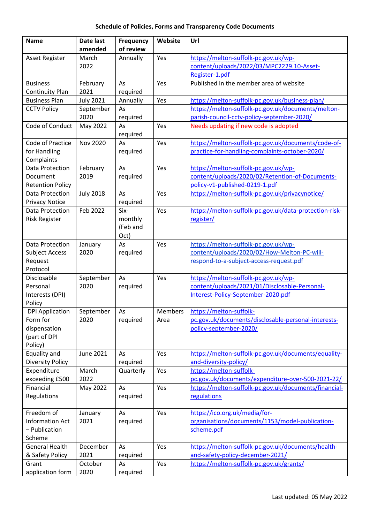## **Schedule of Policies, Forms and Transparency Code Documents**

| <b>Name</b>             | Date last        | <b>Frequency</b> | Website | Url                                                    |
|-------------------------|------------------|------------------|---------|--------------------------------------------------------|
|                         | amended          | of review        |         |                                                        |
| <b>Asset Register</b>   | March            | Annually         | Yes     | https://melton-suffolk-pc.gov.uk/wp-                   |
|                         | 2022             |                  |         | content/uploads/2022/03/MPC2229.10-Asset-              |
|                         |                  |                  |         | Register-1.pdf                                         |
| <b>Business</b>         | February         | As               | Yes     | Published in the member area of website                |
| <b>Continuity Plan</b>  | 2021             | required         |         |                                                        |
| <b>Business Plan</b>    | <b>July 2021</b> | Annually         | Yes     | https://melton-suffolk-pc.gov.uk/business-plan/        |
| <b>CCTV Policy</b>      | September        | As               |         | https://melton-suffolk-pc.gov.uk/documents/melton-     |
|                         | 2020             | required         |         | parish-council-cctv-policy-september-2020/             |
| Code of Conduct         | May 2022         | As               | Yes     | Needs updating if new code is adopted                  |
|                         |                  | required         |         |                                                        |
| Code of Practice        | <b>Nov 2020</b>  | As               | Yes     | https://melton-suffolk-pc.gov.uk/documents/code-of-    |
| for Handling            |                  | required         |         | practice-for-handling-complaints-october-2020/         |
| Complaints              |                  |                  |         |                                                        |
| Data Protection         | February         | As               | Yes     | https://melton-suffolk-pc.gov.uk/wp-                   |
| Document                | 2019             | required         |         | content/uploads/2020/02/Retention-of-Documents-        |
| <b>Retention Policy</b> |                  |                  |         | policy-v1-published-0219-1.pdf                         |
| Data Protection         | <b>July 2018</b> | As               | Yes     | https://melton-suffolk-pc.gov.uk/privacynotice/        |
| <b>Privacy Notice</b>   |                  | required         |         |                                                        |
| Data Protection         | Feb 2022         | Six-             | Yes     | https://melton-suffolk-pc.gov.uk/data-protection-risk- |
| <b>Risk Register</b>    |                  | monthly          |         | register/                                              |
|                         |                  | (Feb and         |         |                                                        |
|                         |                  | Oct)             |         |                                                        |
| Data Protection         | January          | As               | Yes     | https://melton-suffolk-pc.gov.uk/wp-                   |
| <b>Subject Access</b>   | 2020             | required         |         | content/uploads/2020/02/How-Melton-PC-will-            |
| Request                 |                  |                  |         | respond-to-a-subject-access-request.pdf                |
| Protocol                |                  |                  |         |                                                        |
| Disclosable             | September        | As               | Yes     | https://melton-suffolk-pc.gov.uk/wp-                   |
| Personal                | 2020             | required         |         | content/uploads/2021/01/Disclosable-Personal-          |
| Interests (DPI)         |                  |                  |         | Interest-Policy-September-2020.pdf                     |
| Policy                  |                  |                  |         |                                                        |
| <b>DPI Application</b>  | September        | As               | Members | https://melton-suffolk-                                |
| Form for                | 2020             | required         | Area    | pc.gov.uk/documents/disclosable-personal-interests-    |
| dispensation            |                  |                  |         | policy-september-2020/                                 |
| (part of DPI            |                  |                  |         |                                                        |
| Policy)                 |                  |                  |         |                                                        |
| Equality and            | <b>June 2021</b> | As               | Yes     | https://melton-suffolk-pc.gov.uk/documents/equality-   |
| <b>Diversity Policy</b> |                  | required         |         | and-diversity-policy/                                  |
| Expenditure             | March            | Quarterly        | Yes     | https://melton-suffolk-                                |
| exceeding £500          | 2022             |                  |         | pc.gov.uk/documents/expenditure-over-500-2021-22/      |
| Financial               | May 2022         | As               | Yes     | https://melton-suffolk-pc.gov.uk/documents/financial-  |
| Regulations             |                  | required         |         | regulations                                            |
|                         |                  |                  |         |                                                        |
| Freedom of              | January          | As               | Yes     | https://ico.org.uk/media/for-                          |
| <b>Information Act</b>  | 2021             | required         |         | organisations/documents/1153/model-publication-        |
| - Publication           |                  |                  |         | scheme.pdf                                             |
| Scheme                  |                  |                  |         |                                                        |
| <b>General Health</b>   | December         | As               | Yes     | https://melton-suffolk-pc.gov.uk/documents/health-     |
| & Safety Policy         | 2021             | required         |         | and-safety-policy-december-2021/                       |
| Grant                   | October          | As               | Yes     | https://melton-suffolk-pc.gov.uk/grants/               |
| application form        | 2020             | required         |         |                                                        |